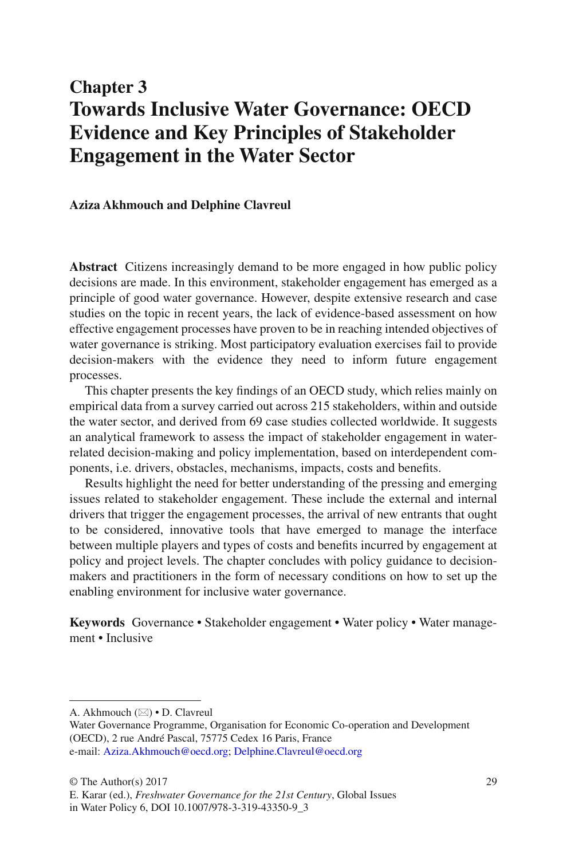# **Chapter 3 Towards Inclusive Water Governance: OECD Evidence and Key Principles of Stakeholder Engagement in the Water Sector**

#### **Aziza Akhmouch and Delphine Clavreul**

 **Abstract** Citizens increasingly demand to be more engaged in how public policy decisions are made. In this environment, stakeholder engagement has emerged as a principle of good water governance. However, despite extensive research and case studies on the topic in recent years, the lack of evidence-based assessment on how effective engagement processes have proven to be in reaching intended objectives of water governance is striking. Most participatory evaluation exercises fail to provide decision-makers with the evidence they need to inform future engagement processes.

This chapter presents the key findings of an OECD study, which relies mainly on empirical data from a survey carried out across 215 stakeholders, within and outside the water sector, and derived from 69 case studies collected worldwide. It suggests an analytical framework to assess the impact of stakeholder engagement in waterrelated decision-making and policy implementation, based on interdependent components, i.e. drivers, obstacles, mechanisms, impacts, costs and benefits.

 Results highlight the need for better understanding of the pressing and emerging issues related to stakeholder engagement. These include the external and internal drivers that trigger the engagement processes, the arrival of new entrants that ought to be considered, innovative tools that have emerged to manage the interface between multiple players and types of costs and benefits incurred by engagement at policy and project levels. The chapter concludes with policy guidance to decisionmakers and practitioners in the form of necessary conditions on how to set up the enabling environment for inclusive water governance.

 **Keywords** Governance • Stakeholder engagement • Water policy • Water management • Inclusive

A. Akhmouch (⊠) • D. Clavreul

Water Governance Programme, Organisation for Economic Co-operation and Development (OECD), 2 rue André Pascal, 75775 Cedex 16 Paris, France e-mail: [Aziza.Akhmouch@oecd.org;](mailto:Aziza.Akhmouch@oecd.org) [Delphine.Clavreul@oecd.org](mailto:Delphine.Clavreul@oecd.org)

 $\odot$  The Author(s) 2017 29

E. Karar (ed.), *Freshwater Governance for the 21st Century*, Global Issues in Water Policy 6, DOI 10.1007/978-3-319-43350-9\_3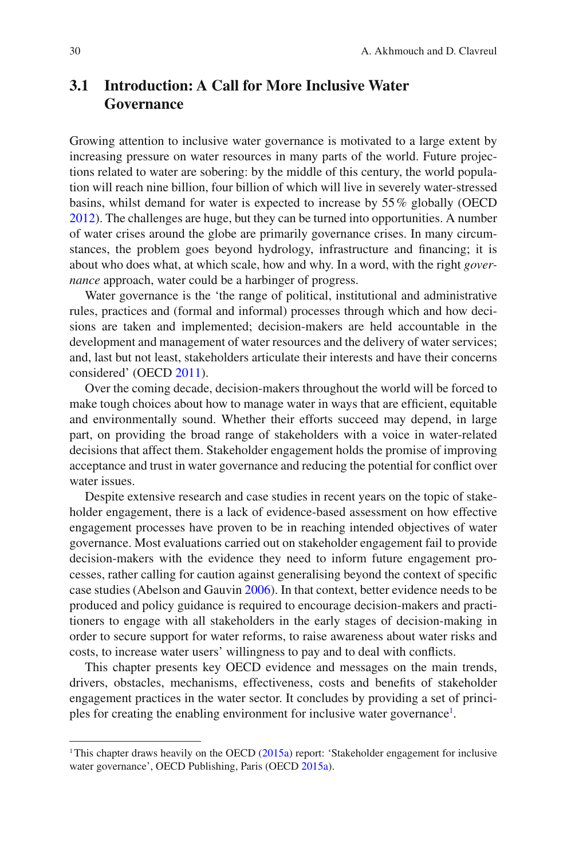## **3.1 Introduction: A Call for More Inclusive Water Governance**

 Growing attention to inclusive water governance is motivated to a large extent by increasing pressure on water resources in many parts of the world. Future projections related to water are sobering: by the middle of this century, the world population will reach nine billion, four billion of which will live in severely water-stressed basins, whilst demand for water is expected to increase by 55 % globally (OECD [2012 \)](#page-19-0). The challenges are huge, but they can be turned into opportunities. A number of water crises around the globe are primarily governance crises. In many circumstances, the problem goes beyond hydrology, infrastructure and financing; it is about who does what, at which scale, how and why. In a word, with the right *governance* approach, water could be a harbinger of progress.

 Water governance is the 'the range of political, institutional and administrative rules, practices and (formal and informal) processes through which and how decisions are taken and implemented; decision-makers are held accountable in the development and management of water resources and the delivery of water services; and, last but not least, stakeholders articulate their interests and have their concerns considered' (OECD [2011](#page-19-0)).

 Over the coming decade, decision-makers throughout the world will be forced to make tough choices about how to manage water in ways that are efficient, equitable and environmentally sound. Whether their efforts succeed may depend, in large part, on providing the broad range of stakeholders with a voice in water-related decisions that affect them. Stakeholder engagement holds the promise of improving acceptance and trust in water governance and reducing the potential for conflict over water issues.

 Despite extensive research and case studies in recent years on the topic of stakeholder engagement, there is a lack of evidence-based assessment on how effective engagement processes have proven to be in reaching intended objectives of water governance. Most evaluations carried out on stakeholder engagement fail to provide decision-makers with the evidence they need to inform future engagement processes, rather calling for caution against generalising beyond the context of specific case studies (Abelson and Gauvin 2006). In that context, better evidence needs to be produced and policy guidance is required to encourage decision-makers and practitioners to engage with all stakeholders in the early stages of decision-making in order to secure support for water reforms, to raise awareness about water risks and costs, to increase water users' willingness to pay and to deal with conflicts.

 This chapter presents key OECD evidence and messages on the main trends, drivers, obstacles, mechanisms, effectiveness, costs and benefits of stakeholder engagement practices in the water sector. It concludes by providing a set of principles for creating the enabling environment for inclusive water governance<sup>1</sup>.

<sup>&</sup>lt;sup>1</sup>This chapter draws heavily on the OECD (2015a) report: 'Stakeholder engagement for inclusive water governance', OECD Publishing, Paris (OECD 2015a).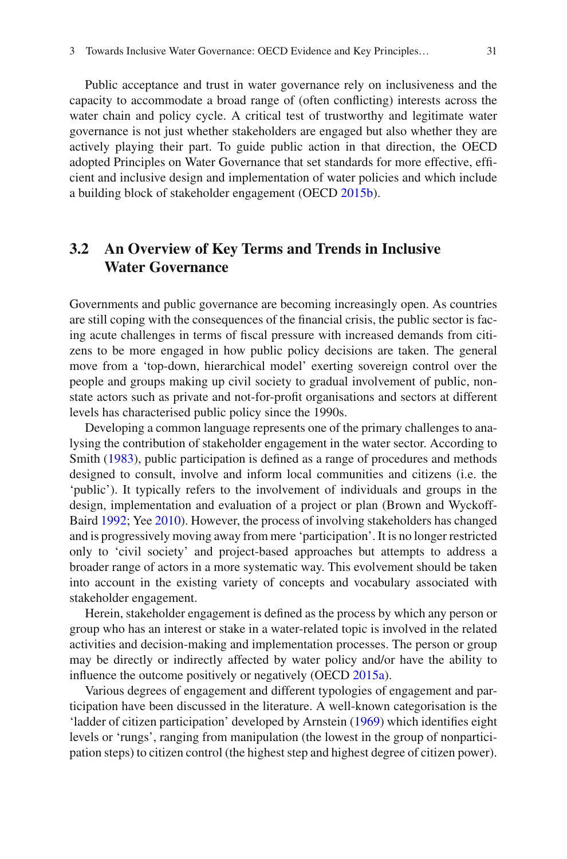Public acceptance and trust in water governance rely on inclusiveness and the capacity to accommodate a broad range of (often conflicting) interests across the water chain and policy cycle. A critical test of trustworthy and legitimate water governance is not just whether stakeholders are engaged but also whether they are actively playing their part. To guide public action in that direction, the OECD adopted Principles on Water Governance that set standards for more effective, efficient and inclusive design and implementation of water policies and which include a building block of stakeholder engagement (OECD [2015b](#page-19-0)).

## **3.2 An Overview of Key Terms and Trends in Inclusive Water Governance**

 Governments and public governance are becoming increasingly open. As countries are still coping with the consequences of the financial crisis, the public sector is facing acute challenges in terms of fiscal pressure with increased demands from citizens to be more engaged in how public policy decisions are taken. The general move from a 'top-down, hierarchical model' exerting sovereign control over the people and groups making up civil society to gradual involvement of public, nonstate actors such as private and not-for-profit organisations and sectors at different levels has characterised public policy since the 1990s.

 Developing a common language represents one of the primary challenges to analysing the contribution of stakeholder engagement in the water sector. According to Smith (1983), public participation is defined as a range of procedures and methods designed to consult, involve and inform local communities and citizens (i.e. the 'public'). It typically refers to the involvement of individuals and groups in the design, implementation and evaluation of a project or plan (Brown and Wyckoff-Baird [1992](#page-19-0); Yee [2010](#page-19-0)). However, the process of involving stakeholders has changed and is progressively moving away from mere 'participation'. It is no longer restricted only to 'civil society' and project-based approaches but attempts to address a broader range of actors in a more systematic way. This evolvement should be taken into account in the existing variety of concepts and vocabulary associated with stakeholder engagement.

Herein, stakeholder engagement is defined as the process by which any person or group who has an interest or stake in a water-related topic is involved in the related activities and decision-making and implementation processes. The person or group may be directly or indirectly affected by water policy and/or have the ability to influence the outcome positively or negatively (OECD [2015a](#page-19-0)).

 Various degrees of engagement and different typologies of engagement and participation have been discussed in the literature. A well-known categorisation is the 'ladder of citizen participation' developed by Arnstein (1969) which identifies eight levels or 'rungs', ranging from manipulation (the lowest in the group of nonparticipation steps) to citizen control (the highest step and highest degree of citizen power).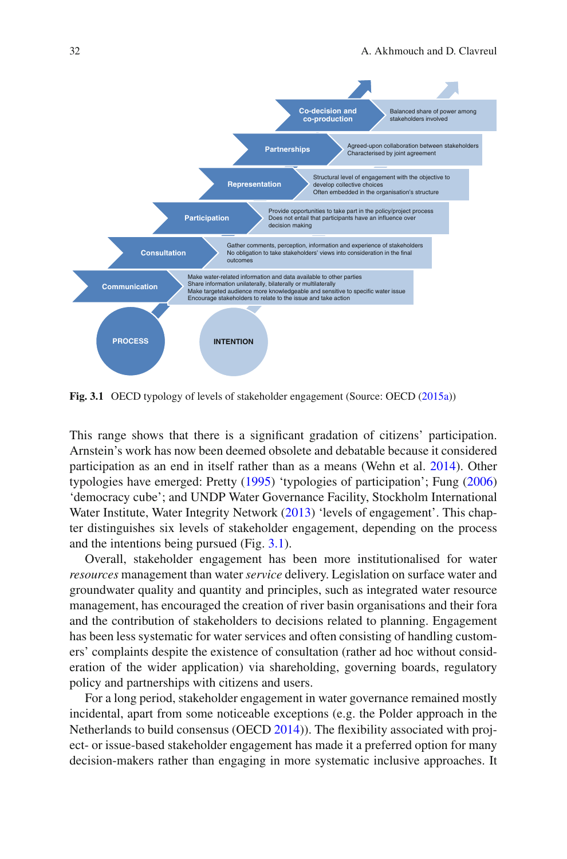

**Fig. 3.1** OECD typology of levels of stakeholder engagement (Source: OECD (2015a))

This range shows that there is a significant gradation of citizens' participation. Arnstein's work has now been deemed obsolete and debatable because it considered participation as an end in itself rather than as a means (Wehn et al. 2014). Other typologies have emerged: Pretty (1995) 'typologies of participation'; Fung (2006) 'democracy cube'; and UNDP Water Governance Facility, Stockholm International Water Institute, Water Integrity Network (2013) 'levels of engagement'. This chapter distinguishes six levels of stakeholder engagement, depending on the process and the intentions being pursued (Fig. 3.1 ).

 Overall, stakeholder engagement has been more institutionalised for water *resources* management than water *service* delivery. Legislation on surface water and groundwater quality and quantity and principles, such as integrated water resource management, has encouraged the creation of river basin organisations and their fora and the contribution of stakeholders to decisions related to planning. Engagement has been less systematic for water services and often consisting of handling customers' complaints despite the existence of consultation (rather ad hoc without consideration of the wider application) via shareholding, governing boards, regulatory policy and partnerships with citizens and users.

 For a long period, stakeholder engagement in water governance remained mostly incidental, apart from some noticeable exceptions (e.g. the Polder approach in the Netherlands to build consensus (OECD  $2014$ )). The flexibility associated with project- or issue-based stakeholder engagement has made it a preferred option for many decision-makers rather than engaging in more systematic inclusive approaches. It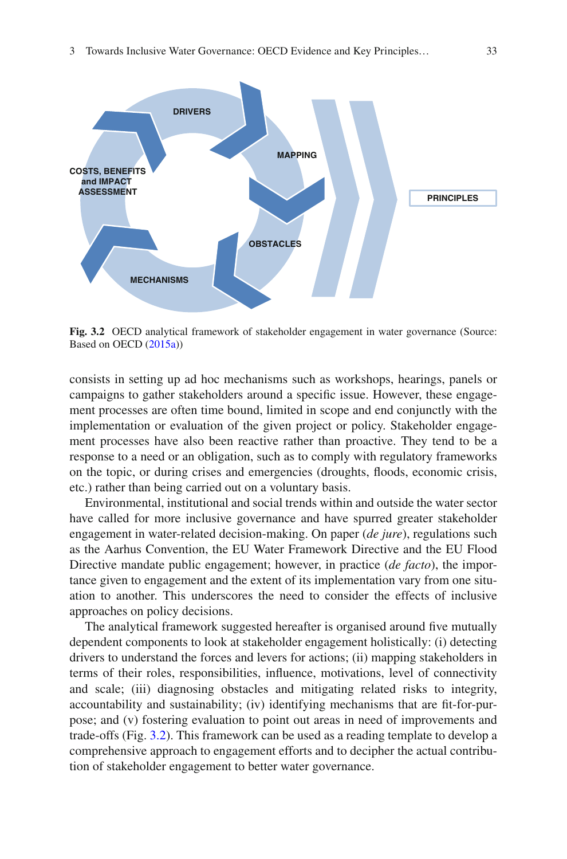

 **Fig. 3.2** OECD analytical framework of stakeholder engagement in water governance (Source: Based on OECD (2015a))

consists in setting up ad hoc mechanisms such as workshops, hearings, panels or campaigns to gather stakeholders around a specific issue. However, these engagement processes are often time bound, limited in scope and end conjunctly with the implementation or evaluation of the given project or policy. Stakeholder engagement processes have also been reactive rather than proactive. They tend to be a response to a need or an obligation, such as to comply with regulatory frameworks on the topic, or during crises and emergencies (droughts, floods, economic crisis, etc.) rather than being carried out on a voluntary basis.

 Environmental, institutional and social trends within and outside the water sector have called for more inclusive governance and have spurred greater stakeholder engagement in water-related decision-making. On paper ( *de jure* ), regulations such as the Aarhus Convention, the EU Water Framework Directive and the EU Flood Directive mandate public engagement; however, in practice (*de facto*), the importance given to engagement and the extent of its implementation vary from one situation to another. This underscores the need to consider the effects of inclusive approaches on policy decisions.

The analytical framework suggested hereafter is organised around five mutually dependent components to look at stakeholder engagement holistically: (i) detecting drivers to understand the forces and levers for actions; (ii) mapping stakeholders in terms of their roles, responsibilities, influence, motivations, level of connectivity and scale; (iii) diagnosing obstacles and mitigating related risks to integrity, accountability and sustainability; (iv) identifying mechanisms that are fit-for-purpose; and (v) fostering evaluation to point out areas in need of improvements and trade-offs (Fig. 3.2). This framework can be used as a reading template to develop a comprehensive approach to engagement efforts and to decipher the actual contribution of stakeholder engagement to better water governance.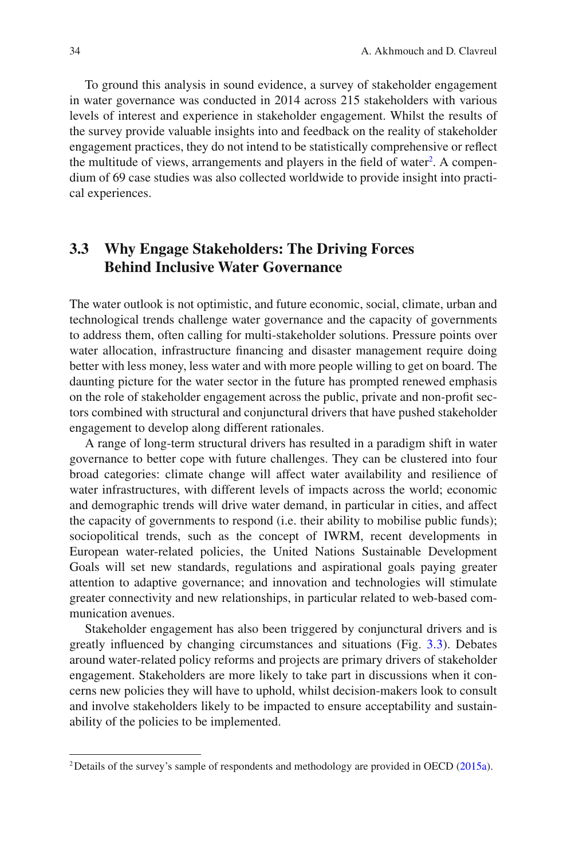To ground this analysis in sound evidence, a survey of stakeholder engagement in water governance was conducted in 2014 across 215 stakeholders with various levels of interest and experience in stakeholder engagement. Whilst the results of the survey provide valuable insights into and feedback on the reality of stakeholder engagement practices, they do not intend to be statistically comprehensive or reflect the multitude of views, arrangements and players in the field of water<sup>2</sup>. A compendium of 69 case studies was also collected worldwide to provide insight into practical experiences.

## **3.3 Why Engage Stakeholders: The Driving Forces Behind Inclusive Water Governance**

 The water outlook is not optimistic, and future economic, social, climate, urban and technological trends challenge water governance and the capacity of governments to address them, often calling for multi-stakeholder solutions. Pressure points over water allocation, infrastructure financing and disaster management require doing better with less money, less water and with more people willing to get on board. The daunting picture for the water sector in the future has prompted renewed emphasis on the role of stakeholder engagement across the public, private and non-profi t sectors combined with structural and conjunctural drivers that have pushed stakeholder engagement to develop along different rationales.

 A range of long-term structural drivers has resulted in a paradigm shift in water governance to better cope with future challenges. They can be clustered into four broad categories: climate change will affect water availability and resilience of water infrastructures, with different levels of impacts across the world; economic and demographic trends will drive water demand, in particular in cities, and affect the capacity of governments to respond (i.e. their ability to mobilise public funds); sociopolitical trends, such as the concept of IWRM, recent developments in European water-related policies, the United Nations Sustainable Development Goals will set new standards, regulations and aspirational goals paying greater attention to adaptive governance; and innovation and technologies will stimulate greater connectivity and new relationships, in particular related to web-based communication avenues.

 Stakeholder engagement has also been triggered by conjunctural drivers and is greatly influenced by changing circumstances and situations (Fig. [3.3](#page-6-0)). Debates around water-related policy reforms and projects are primary drivers of stakeholder engagement. Stakeholders are more likely to take part in discussions when it concerns new policies they will have to uphold, whilst decision-makers look to consult and involve stakeholders likely to be impacted to ensure acceptability and sustainability of the policies to be implemented.

 $2$  Details of the survey's sample of respondents and methodology are provided in OECD ( $2015a$ ).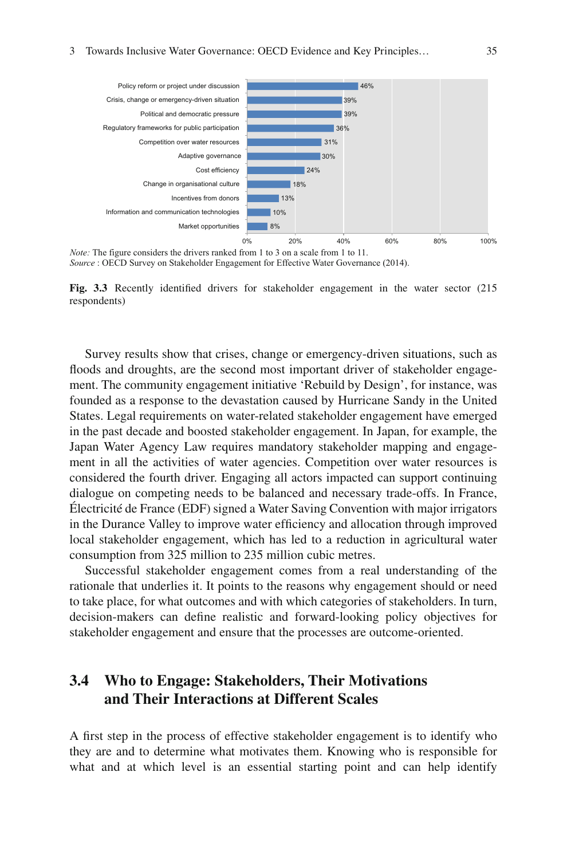<span id="page-6-0"></span>

*Note:* The figure considers the drivers ranked from 1 to 3 on a scale from 1 to 11. *Source* : OECD Survey on Stakeholder Engagement for Effective Water Governance (2014).

**Fig. 3.3** Recently identified drivers for stakeholder engagement in the water sector (215) respondents)

 Survey results show that crises, change or emergency-driven situations, such as floods and droughts, are the second most important driver of stakeholder engagement. The community engagement initiative 'Rebuild by Design', for instance, was founded as a response to the devastation caused by Hurricane Sandy in the United States. Legal requirements on water-related stakeholder engagement have emerged in the past decade and boosted stakeholder engagement. In Japan, for example, the Japan Water Agency Law requires mandatory stakeholder mapping and engagement in all the activities of water agencies. Competition over water resources is considered the fourth driver. Engaging all actors impacted can support continuing dialogue on competing needs to be balanced and necessary trade-offs. In France, Électricité de France (EDF) signed a Water Saving Convention with major irrigators in the Durance Valley to improve water efficiency and allocation through improved local stakeholder engagement, which has led to a reduction in agricultural water consumption from 325 million to 235 million cubic metres.

 Successful stakeholder engagement comes from a real understanding of the rationale that underlies it. It points to the reasons why engagement should or need to take place, for what outcomes and with which categories of stakeholders. In turn, decision-makers can define realistic and forward-looking policy objectives for stakeholder engagement and ensure that the processes are outcome-oriented.

## **3.4 Who to Engage: Stakeholders, Their Motivations and Their Interactions at Different Scales**

A first step in the process of effective stakeholder engagement is to identify who they are and to determine what motivates them. Knowing who is responsible for what and at which level is an essential starting point and can help identify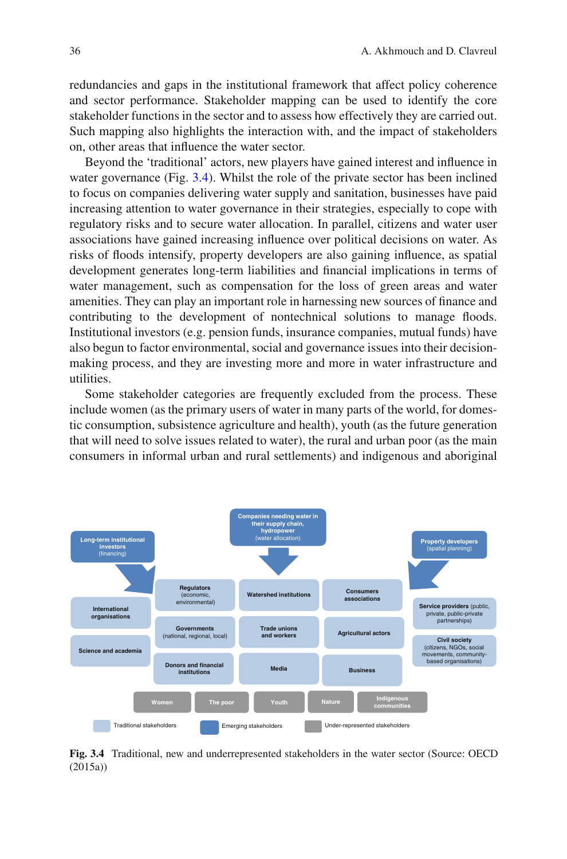redundancies and gaps in the institutional framework that affect policy coherence and sector performance. Stakeholder mapping can be used to identify the core stakeholder functions in the sector and to assess how effectively they are carried out. Such mapping also highlights the interaction with, and the impact of stakeholders on, other areas that influence the water sector.

Beyond the 'traditional' actors, new players have gained interest and influence in water governance (Fig. 3.4). Whilst the role of the private sector has been inclined to focus on companies delivering water supply and sanitation, businesses have paid increasing attention to water governance in their strategies, especially to cope with regulatory risks and to secure water allocation. In parallel, citizens and water user associations have gained increasing influence over political decisions on water. As risks of floods intensify, property developers are also gaining influence, as spatial development generates long-term liabilities and financial implications in terms of water management, such as compensation for the loss of green areas and water amenities. They can play an important role in harnessing new sources of finance and contributing to the development of nontechnical solutions to manage floods. Institutional investors (e.g. pension funds, insurance companies, mutual funds) have also begun to factor environmental, social and governance issues into their decisionmaking process, and they are investing more and more in water infrastructure and utilities.

 Some stakeholder categories are frequently excluded from the process. These include women (as the primary users of water in many parts of the world, for domestic consumption, subsistence agriculture and health), youth (as the future generation that will need to solve issues related to water), the rural and urban poor (as the main consumers in informal urban and rural settlements) and indigenous and aboriginal



 **Fig. 3.4** Traditional, new and underrepresented stakeholders in the water sector (Source: OECD (2015a))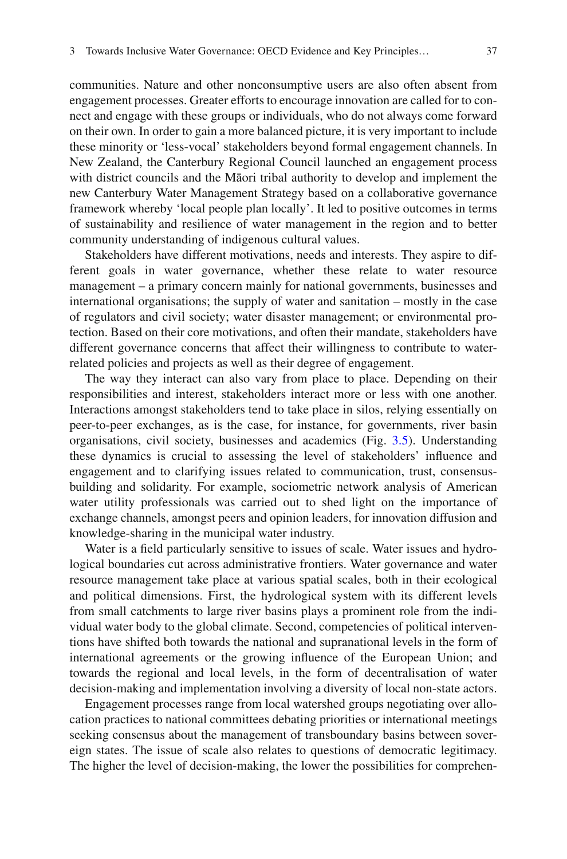communities. Nature and other nonconsumptive users are also often absent from engagement processes. Greater efforts to encourage innovation are called for to connect and engage with these groups or individuals, who do not always come forward on their own. In order to gain a more balanced picture, it is very important to include these minority or 'less-vocal' stakeholders beyond formal engagement channels. In New Zealand, the Canterbury Regional Council launched an engagement process with district councils and the Māori tribal authority to develop and implement the new Canterbury Water Management Strategy based on a collaborative governance framework whereby 'local people plan locally'. It led to positive outcomes in terms of sustainability and resilience of water management in the region and to better community understanding of indigenous cultural values.

 Stakeholders have different motivations, needs and interests. They aspire to different goals in water governance, whether these relate to water resource management – a primary concern mainly for national governments, businesses and international organisations; the supply of water and sanitation – mostly in the case of regulators and civil society; water disaster management; or environmental protection. Based on their core motivations, and often their mandate, stakeholders have different governance concerns that affect their willingness to contribute to waterrelated policies and projects as well as their degree of engagement.

 The way they interact can also vary from place to place. Depending on their responsibilities and interest, stakeholders interact more or less with one another. Interactions amongst stakeholders tend to take place in silos, relying essentially on peer-to-peer exchanges, as is the case, for instance, for governments, river basin organisations, civil society, businesses and academics (Fig. [3.5 \)](#page-9-0). Understanding these dynamics is crucial to assessing the level of stakeholders' influence and engagement and to clarifying issues related to communication, trust, consensusbuilding and solidarity. For example, sociometric network analysis of American water utility professionals was carried out to shed light on the importance of exchange channels, amongst peers and opinion leaders, for innovation diffusion and knowledge-sharing in the municipal water industry.

Water is a field particularly sensitive to issues of scale. Water issues and hydrological boundaries cut across administrative frontiers. Water governance and water resource management take place at various spatial scales, both in their ecological and political dimensions. First, the hydrological system with its different levels from small catchments to large river basins plays a prominent role from the individual water body to the global climate. Second, competencies of political interventions have shifted both towards the national and supranational levels in the form of international agreements or the growing influence of the European Union; and towards the regional and local levels, in the form of decentralisation of water decision- making and implementation involving a diversity of local non-state actors.

 Engagement processes range from local watershed groups negotiating over allocation practices to national committees debating priorities or international meetings seeking consensus about the management of transboundary basins between sovereign states. The issue of scale also relates to questions of democratic legitimacy. The higher the level of decision-making, the lower the possibilities for comprehen-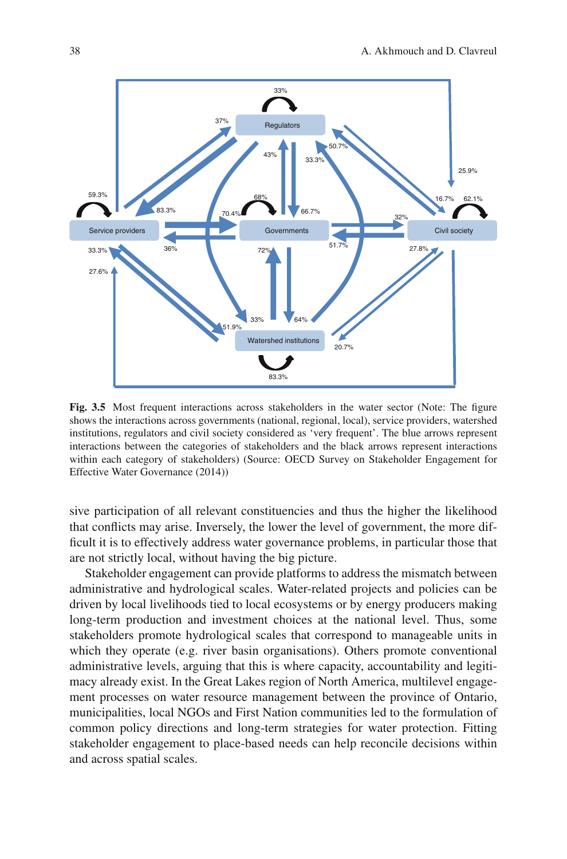<span id="page-9-0"></span>

Fig. 3.5 Most frequent interactions across stakeholders in the water sector (Note: The figure shows the interactions across governments (national, regional, local), service providers, watershed institutions, regulators and civil society considered as 'very frequent'. The blue arrows represent interactions between the categories of stakeholders and the black arrows represent interactions within each category of stakeholders) (Source: OECD Survey on Stakeholder Engagement for Effective Water Governance (2014))

sive participation of all relevant constituencies and thus the higher the likelihood that conflicts may arise. Inversely, the lower the level of government, the more difficult it is to effectively address water governance problems, in particular those that are not strictly local, without having the big picture.

 Stakeholder engagement can provide platforms to address the mismatch between administrative and hydrological scales. Water-related projects and policies can be driven by local livelihoods tied to local ecosystems or by energy producers making long-term production and investment choices at the national level. Thus, some stakeholders promote hydrological scales that correspond to manageable units in which they operate (e.g. river basin organisations). Others promote conventional administrative levels, arguing that this is where capacity, accountability and legitimacy already exist. In the Great Lakes region of North America, multilevel engagement processes on water resource management between the province of Ontario, municipalities, local NGOs and First Nation communities led to the formulation of common policy directions and long-term strategies for water protection. Fitting stakeholder engagement to place-based needs can help reconcile decisions within and across spatial scales.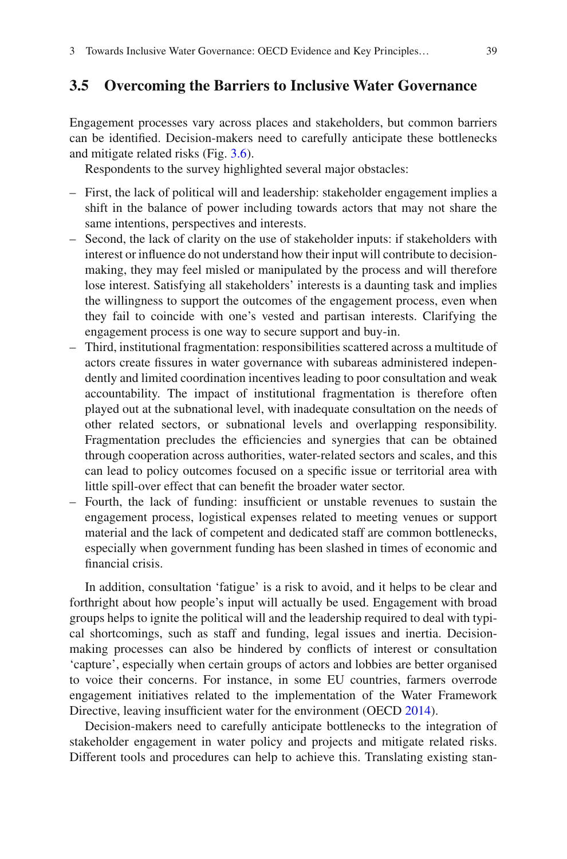#### **3.5 Overcoming the Barriers to Inclusive Water Governance**

 Engagement processes vary across places and stakeholders, but common barriers can be identified. Decision-makers need to carefully anticipate these bottlenecks and mitigate related risks (Fig. [3.6](#page-11-0)).

Respondents to the survey highlighted several major obstacles:

- First, the lack of political will and leadership: stakeholder engagement implies a shift in the balance of power including towards actors that may not share the same intentions, perspectives and interests.
- Second, the lack of clarity on the use of stakeholder inputs: if stakeholders with interest or influence do not understand how their input will contribute to decisionmaking, they may feel misled or manipulated by the process and will therefore lose interest. Satisfying all stakeholders' interests is a daunting task and implies the willingness to support the outcomes of the engagement process, even when they fail to coincide with one's vested and partisan interests. Clarifying the engagement process is one way to secure support and buy-in.
- Third, institutional fragmentation: responsibilities scattered across a multitude of actors create fissures in water governance with subareas administered independently and limited coordination incentives leading to poor consultation and weak accountability. The impact of institutional fragmentation is therefore often played out at the subnational level, with inadequate consultation on the needs of other related sectors, or subnational levels and overlapping responsibility. Fragmentation precludes the efficiencies and synergies that can be obtained through cooperation across authorities, water-related sectors and scales, and this can lead to policy outcomes focused on a specific issue or territorial area with little spill-over effect that can benefit the broader water sector.
- Fourth, the lack of funding: insufficient or unstable revenues to sustain the engagement process, logistical expenses related to meeting venues or support material and the lack of competent and dedicated staff are common bottlenecks, especially when government funding has been slashed in times of economic and financial crisis.

 In addition, consultation 'fatigue' is a risk to avoid, and it helps to be clear and forthright about how people's input will actually be used. Engagement with broad groups helps to ignite the political will and the leadership required to deal with typical shortcomings, such as staff and funding, legal issues and inertia. Decisionmaking processes can also be hindered by conflicts of interest or consultation 'capture', especially when certain groups of actors and lobbies are better organised to voice their concerns. For instance, in some EU countries, farmers overrode engagement initiatives related to the implementation of the Water Framework Directive, leaving insufficient water for the environment (OECD [2014](#page-19-0)).

 Decision-makers need to carefully anticipate bottlenecks to the integration of stakeholder engagement in water policy and projects and mitigate related risks. Different tools and procedures can help to achieve this. Translating existing stan-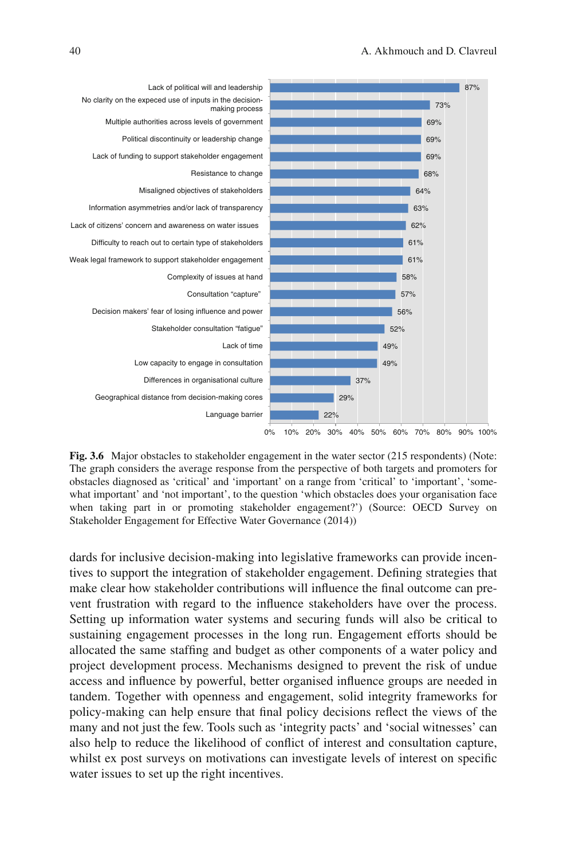<span id="page-11-0"></span>

**Fig. 3.6** Major obstacles to stakeholder engagement in the water sector (215 respondents) (Note: The graph considers the average response from the perspective of both targets and promoters for obstacles diagnosed as 'critical' and 'important' on a range from 'critical' to 'important', 'somewhat important' and 'not important', to the question 'which obstacles does your organisation face when taking part in or promoting stakeholder engagement?') (Source: OECD Survey on Stakeholder Engagement for Effective Water Governance (2014))

dards for inclusive decision-making into legislative frameworks can provide incentives to support the integration of stakeholder engagement. Defining strategies that make clear how stakeholder contributions will influence the final outcome can prevent frustration with regard to the influence stakeholders have over the process. Setting up information water systems and securing funds will also be critical to sustaining engagement processes in the long run. Engagement efforts should be allocated the same staffing and budget as other components of a water policy and project development process. Mechanisms designed to prevent the risk of undue access and influence by powerful, better organised influence groups are needed in tandem. Together with openness and engagement, solid integrity frameworks for policy-making can help ensure that final policy decisions reflect the views of the many and not just the few. Tools such as 'integrity pacts' and 'social witnesses' can also help to reduce the likelihood of conflict of interest and consultation capture, whilst ex post surveys on motivations can investigate levels of interest on specific water issues to set up the right incentives.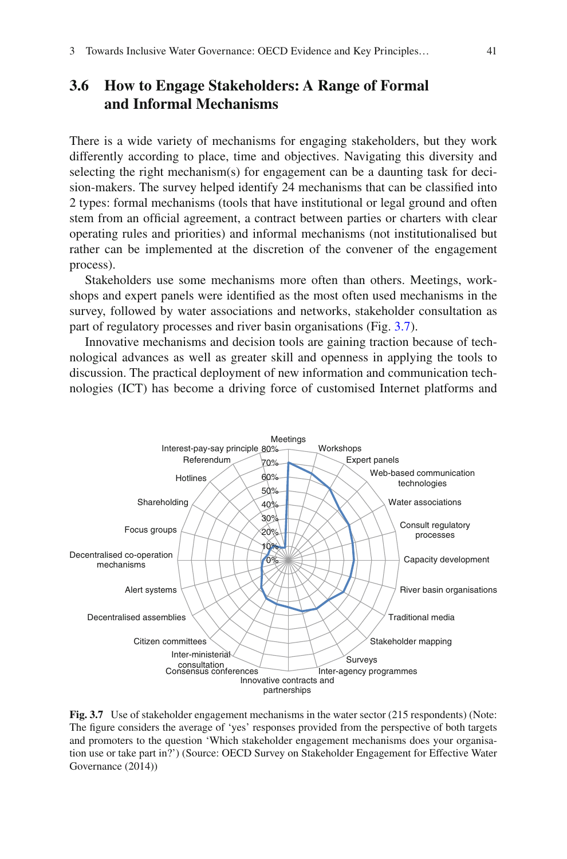## **3.6 How to Engage Stakeholders: A Range of Formal and Informal Mechanisms**

 There is a wide variety of mechanisms for engaging stakeholders, but they work differently according to place, time and objectives. Navigating this diversity and selecting the right mechanism(s) for engagement can be a daunting task for decision-makers. The survey helped identify 24 mechanisms that can be classified into 2 types: formal mechanisms (tools that have institutional or legal ground and often stem from an official agreement, a contract between parties or charters with clear operating rules and priorities) and informal mechanisms (not institutionalised but rather can be implemented at the discretion of the convener of the engagement process).

 Stakeholders use some mechanisms more often than others. Meetings, workshops and expert panels were identified as the most often used mechanisms in the survey, followed by water associations and networks, stakeholder consultation as part of regulatory processes and river basin organisations (Fig. 3.7).

 Innovative mechanisms and decision tools are gaining traction because of technological advances as well as greater skill and openness in applying the tools to discussion. The practical deployment of new information and communication technologies (ICT) has become a driving force of customised Internet platforms and



 **Fig. 3.7** Use of stakeholder engagement mechanisms in the water sector (215 respondents) (Note: The figure considers the average of 'yes' responses provided from the perspective of both targets and promoters to the question 'Which stakeholder engagement mechanisms does your organisation use or take part in?') (Source: OECD Survey on Stakeholder Engagement for Effective Water Governance (2014))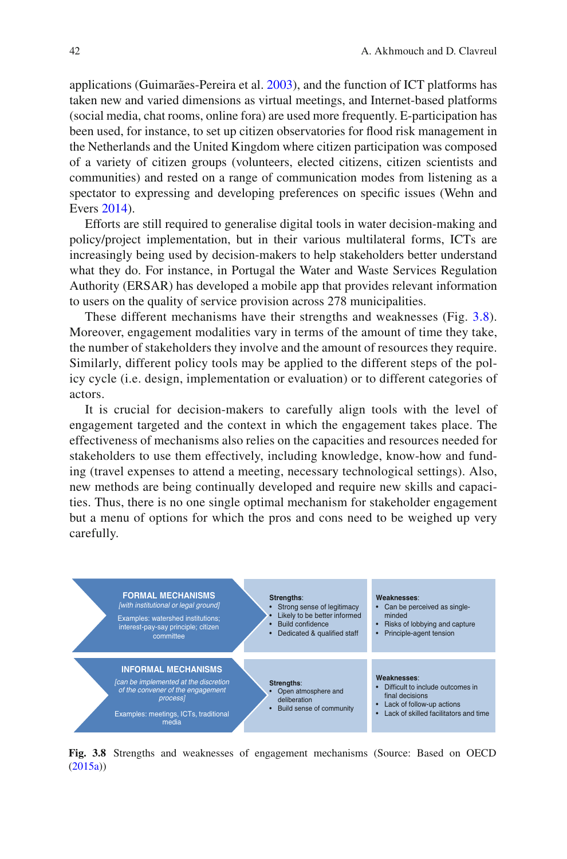applications (Guimarães-Pereira et al. [2003 \)](#page-19-0), and the function of ICT platforms has taken new and varied dimensions as virtual meetings, and Internet-based platforms (social media, chat rooms, online fora) are used more frequently. E-participation has been used, for instance, to set up citizen observatories for flood risk management in the Netherlands and the United Kingdom where citizen participation was composed of a variety of citizen groups (volunteers, elected citizens, citizen scientists and communities) and rested on a range of communication modes from listening as a spectator to expressing and developing preferences on specific issues (Wehn and Evers  $2014$ .

 Efforts are still required to generalise digital tools in water decision-making and policy/project implementation, but in their various multilateral forms, ICTs are increasingly being used by decision-makers to help stakeholders better understand what they do. For instance, in Portugal the Water and Waste Services Regulation Authority (ERSAR) has developed a mobile app that provides relevant information to users on the quality of service provision across 278 municipalities.

These different mechanisms have their strengths and weaknesses (Fig. 3.8). Moreover, engagement modalities vary in terms of the amount of time they take, the number of stakeholders they involve and the amount of resources they require. Similarly, different policy tools may be applied to the different steps of the policy cycle (i.e. design, implementation or evaluation) or to different categories of actors.

 It is crucial for decision-makers to carefully align tools with the level of engagement targeted and the context in which the engagement takes place. The effectiveness of mechanisms also relies on the capacities and resources needed for stakeholders to use them effectively, including knowledge, know-how and funding (travel expenses to attend a meeting, necessary technological settings). Also, new methods are being continually developed and require new skills and capacities. Thus, there is no one single optimal mechanism for stakeholder engagement but a menu of options for which the pros and cons need to be weighed up very carefully.



 **Fig. 3.8** Strengths and weaknesses of engagement mechanisms (Source: Based on OECD  $(2015a)$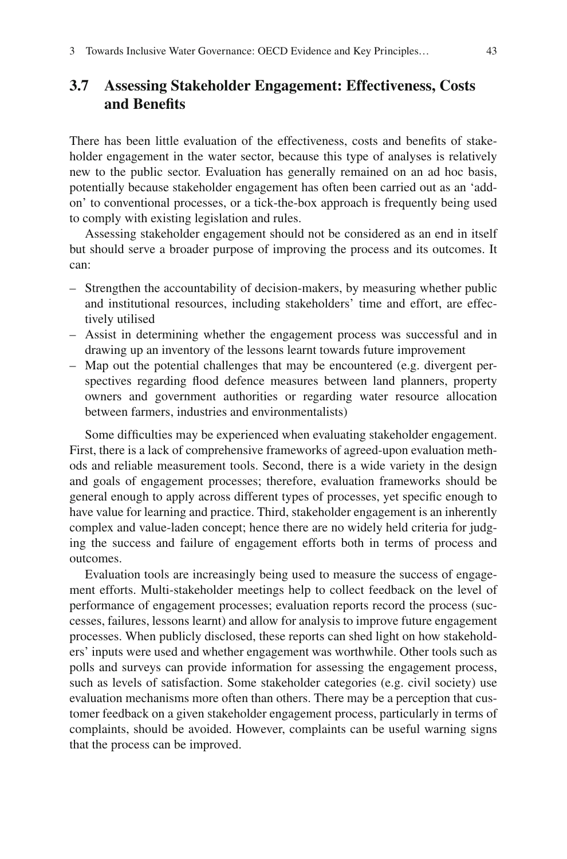## **3.7 Assessing Stakeholder Engagement: Effectiveness, Costs**  and **Benefits**

There has been little evaluation of the effectiveness, costs and benefits of stakeholder engagement in the water sector, because this type of analyses is relatively new to the public sector. Evaluation has generally remained on an ad hoc basis, potentially because stakeholder engagement has often been carried out as an 'add on' to conventional processes, or a tick-the-box approach is frequently being used to comply with existing legislation and rules.

 Assessing stakeholder engagement should not be considered as an end in itself but should serve a broader purpose of improving the process and its outcomes. It can:

- Strengthen the accountability of decision-makers, by measuring whether public and institutional resources, including stakeholders' time and effort, are effectively utilised
- Assist in determining whether the engagement process was successful and in drawing up an inventory of the lessons learnt towards future improvement
- Map out the potential challenges that may be encountered (e.g. divergent perspectives regarding flood defence measures between land planners, property owners and government authorities or regarding water resource allocation between farmers, industries and environmentalists)

Some difficulties may be experienced when evaluating stakeholder engagement. First, there is a lack of comprehensive frameworks of agreed-upon evaluation methods and reliable measurement tools. Second, there is a wide variety in the design and goals of engagement processes; therefore, evaluation frameworks should be general enough to apply across different types of processes, yet specific enough to have value for learning and practice. Third, stakeholder engagement is an inherently complex and value-laden concept; hence there are no widely held criteria for judging the success and failure of engagement efforts both in terms of process and outcomes.

 Evaluation tools are increasingly being used to measure the success of engagement efforts. Multi-stakeholder meetings help to collect feedback on the level of performance of engagement processes; evaluation reports record the process (successes, failures, lessons learnt) and allow for analysis to improve future engagement processes. When publicly disclosed, these reports can shed light on how stakeholders' inputs were used and whether engagement was worthwhile. Other tools such as polls and surveys can provide information for assessing the engagement process, such as levels of satisfaction. Some stakeholder categories (e.g. civil society) use evaluation mechanisms more often than others. There may be a perception that customer feedback on a given stakeholder engagement process, particularly in terms of complaints, should be avoided. However, complaints can be useful warning signs that the process can be improved.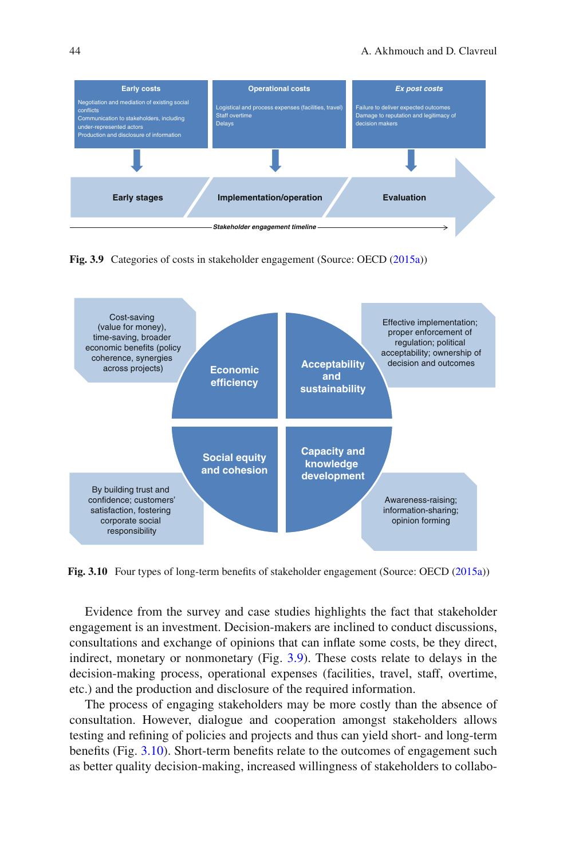

Fig. 3.9 Categories of costs in stakeholder engagement (Source: OECD (2015a))



**Fig. 3.10** Four types of long-term benefits of stakeholder engagement (Source: OECD (2015a))

 Evidence from the survey and case studies highlights the fact that stakeholder engagement is an investment. Decision-makers are inclined to conduct discussions, consultations and exchange of opinions that can inflate some costs, be they direct, indirect, monetary or nonmonetary (Fig.  $3.9$ ). These costs relate to delays in the decision-making process, operational expenses (facilities, travel, staff, overtime, etc.) and the production and disclosure of the required information.

 The process of engaging stakeholders may be more costly than the absence of consultation. However, dialogue and cooperation amongst stakeholders allows testing and refining of policies and projects and thus can yield short- and long-term benefits (Fig.  $3.10$ ). Short-term benefits relate to the outcomes of engagement such as better quality decision-making, increased willingness of stakeholders to collabo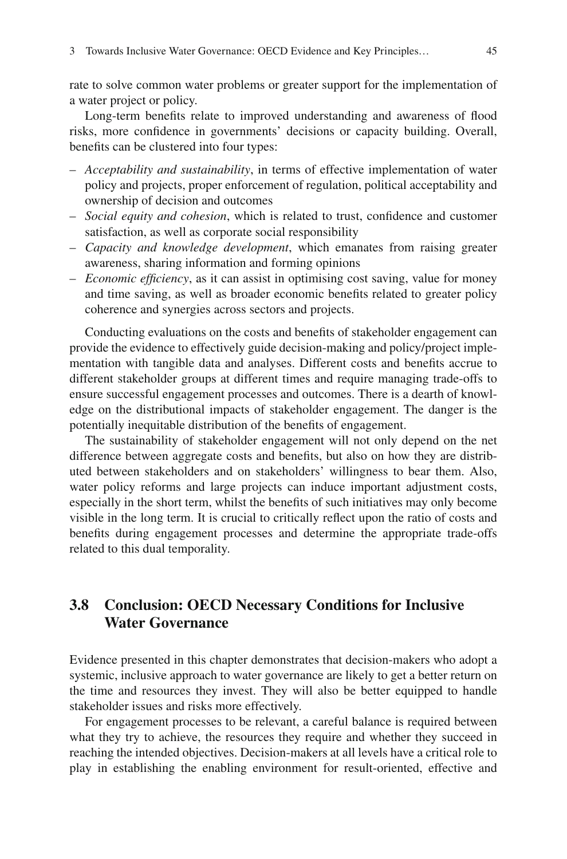rate to solve common water problems or greater support for the implementation of a water project or policy.

Long-term benefits relate to improved understanding and awareness of flood risks, more confidence in governments' decisions or capacity building. Overall, benefits can be clustered into four types:

- *Acceptability and sustainability* , in terms of effective implementation of water policy and projects, proper enforcement of regulation, political acceptability and ownership of decision and outcomes
- *Social equity and cohesion*, which is related to trust, confidence and customer satisfaction, as well as corporate social responsibility
- *Capacity and knowledge development* , which emanates from raising greater awareness, sharing information and forming opinions
- *Economic efficiency*, as it can assist in optimising cost saving, value for money and time saving, as well as broader economic benefits related to greater policy coherence and synergies across sectors and projects.

Conducting evaluations on the costs and benefits of stakeholder engagement can provide the evidence to effectively guide decision-making and policy/project implementation with tangible data and analyses. Different costs and benefits accrue to different stakeholder groups at different times and require managing trade-offs to ensure successful engagement processes and outcomes. There is a dearth of knowledge on the distributional impacts of stakeholder engagement. The danger is the potentially inequitable distribution of the benefits of engagement.

 The sustainability of stakeholder engagement will not only depend on the net difference between aggregate costs and benefits, but also on how they are distributed between stakeholders and on stakeholders' willingness to bear them. Also, water policy reforms and large projects can induce important adjustment costs, especially in the short term, whilst the benefits of such initiatives may only become visible in the long term. It is crucial to critically reflect upon the ratio of costs and benefits during engagement processes and determine the appropriate trade-offs related to this dual temporality.

## **3.8 Conclusion: OECD Necessary Conditions for Inclusive Water Governance**

 Evidence presented in this chapter demonstrates that decision-makers who adopt a systemic, inclusive approach to water governance are likely to get a better return on the time and resources they invest. They will also be better equipped to handle stakeholder issues and risks more effectively.

 For engagement processes to be relevant, a careful balance is required between what they try to achieve, the resources they require and whether they succeed in reaching the intended objectives. Decision-makers at all levels have a critical role to play in establishing the enabling environment for result-oriented, effective and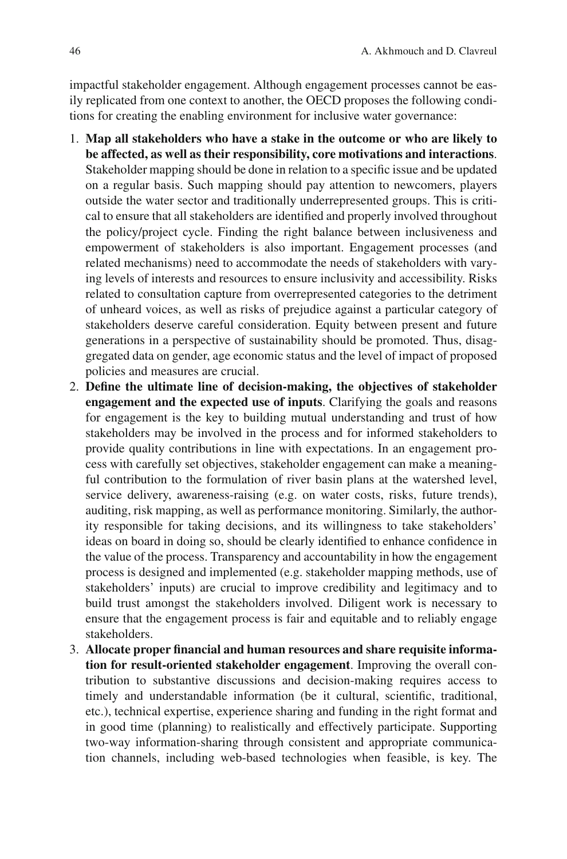impactful stakeholder engagement. Although engagement processes cannot be easily replicated from one context to another, the OECD proposes the following conditions for creating the enabling environment for inclusive water governance:

- 1. **Map all stakeholders who have a stake in the outcome or who are likely to be affected, as well as their responsibility, core motivations and interactions** . Stakeholder mapping should be done in relation to a specific issue and be updated on a regular basis. Such mapping should pay attention to newcomers, players outside the water sector and traditionally underrepresented groups. This is critical to ensure that all stakeholders are identified and properly involved throughout the policy/project cycle. Finding the right balance between inclusiveness and empowerment of stakeholders is also important. Engagement processes (and related mechanisms) need to accommodate the needs of stakeholders with varying levels of interests and resources to ensure inclusivity and accessibility. Risks related to consultation capture from overrepresented categories to the detriment of unheard voices, as well as risks of prejudice against a particular category of stakeholders deserve careful consideration. Equity between present and future generations in a perspective of sustainability should be promoted. Thus, disaggregated data on gender, age economic status and the level of impact of proposed policies and measures are crucial.
- 2. **Define the ultimate line of decision-making, the objectives of stakeholder engagement and the expected use of inputs** . Clarifying the goals and reasons for engagement is the key to building mutual understanding and trust of how stakeholders may be involved in the process and for informed stakeholders to provide quality contributions in line with expectations. In an engagement process with carefully set objectives, stakeholder engagement can make a meaningful contribution to the formulation of river basin plans at the watershed level, service delivery, awareness-raising (e.g. on water costs, risks, future trends), auditing, risk mapping, as well as performance monitoring. Similarly, the authority responsible for taking decisions, and its willingness to take stakeholders' ideas on board in doing so, should be clearly identified to enhance confidence in the value of the process. Transparency and accountability in how the engagement process is designed and implemented (e.g. stakeholder mapping methods, use of stakeholders' inputs) are crucial to improve credibility and legitimacy and to build trust amongst the stakeholders involved. Diligent work is necessary to ensure that the engagement process is fair and equitable and to reliably engage stakeholders.
- 3. Allocate proper financial and human resources and share requisite informa**tion for result-oriented stakeholder engagement**. Improving the overall contribution to substantive discussions and decision-making requires access to timely and understandable information (be it cultural, scientific, traditional, etc.), technical expertise, experience sharing and funding in the right format and in good time (planning) to realistically and effectively participate. Supporting two-way information-sharing through consistent and appropriate communication channels, including web-based technologies when feasible, is key. The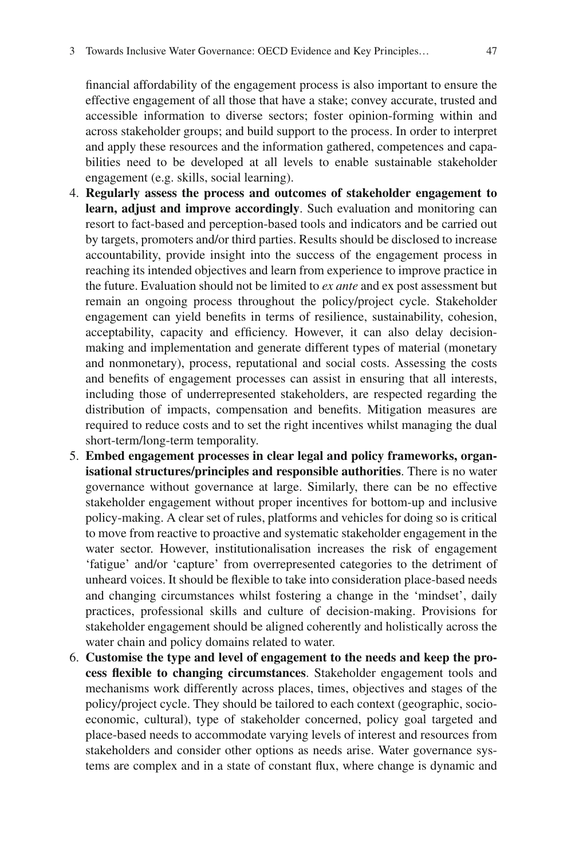financial affordability of the engagement process is also important to ensure the effective engagement of all those that have a stake; convey accurate, trusted and accessible information to diverse sectors; foster opinion-forming within and across stakeholder groups; and build support to the process. In order to interpret and apply these resources and the information gathered, competences and capabilities need to be developed at all levels to enable sustainable stakeholder engagement (e.g. skills, social learning).

- 4. **Regularly assess the process and outcomes of stakeholder engagement to**  learn, adjust and improve accordingly. Such evaluation and monitoring can resort to fact-based and perception-based tools and indicators and be carried out by targets, promoters and/or third parties. Results should be disclosed to increase accountability, provide insight into the success of the engagement process in reaching its intended objectives and learn from experience to improve practice in the future. Evaluation should not be limited to *ex ante* and ex post assessment but remain an ongoing process throughout the policy/project cycle. Stakeholder engagement can yield benefits in terms of resilience, sustainability, cohesion, acceptability, capacity and efficiency. However, it can also delay decisionmaking and implementation and generate different types of material (monetary and nonmonetary), process, reputational and social costs. Assessing the costs and benefits of engagement processes can assist in ensuring that all interests, including those of underrepresented stakeholders, are respected regarding the distribution of impacts, compensation and benefits. Mitigation measures are required to reduce costs and to set the right incentives whilst managing the dual short-term/long-term temporality.
- 5. **Embed engagement processes in clear legal and policy frameworks, organisational structures/principles and responsible authorities** . There is no water governance without governance at large. Similarly, there can be no effective stakeholder engagement without proper incentives for bottom-up and inclusive policy-making. A clear set of rules, platforms and vehicles for doing so is critical to move from reactive to proactive and systematic stakeholder engagement in the water sector. However, institutionalisation increases the risk of engagement 'fatigue' and/or 'capture' from overrepresented categories to the detriment of unheard voices. It should be flexible to take into consideration place-based needs and changing circumstances whilst fostering a change in the 'mindset', daily practices, professional skills and culture of decision-making. Provisions for stakeholder engagement should be aligned coherently and holistically across the water chain and policy domains related to water.
- 6. **Customise the type and level of engagement to the needs and keep the pro**cess flexible to changing circumstances. Stakeholder engagement tools and mechanisms work differently across places, times, objectives and stages of the policy/project cycle. They should be tailored to each context (geographic, socioeconomic, cultural), type of stakeholder concerned, policy goal targeted and place-based needs to accommodate varying levels of interest and resources from stakeholders and consider other options as needs arise. Water governance systems are complex and in a state of constant flux, where change is dynamic and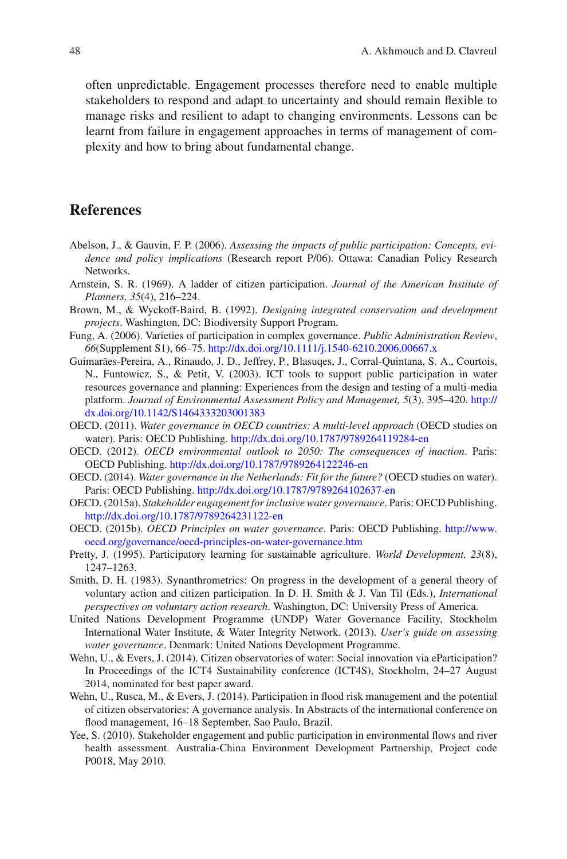<span id="page-19-0"></span>often unpredictable. Engagement processes therefore need to enable multiple stakeholders to respond and adapt to uncertainty and should remain flexible to manage risks and resilient to adapt to changing environments. Lessons can be learnt from failure in engagement approaches in terms of management of complexity and how to bring about fundamental change.

### **References**

- Abelson, J., & Gauvin, F. P. (2006). *Assessing the impacts of public participation: Concepts, evidence and policy implications* (Research report P/06). Ottawa: Canadian Policy Research Networks.
- Arnstein, S. R. (1969). A ladder of citizen participation. *Journal of the American Institute of Planners, 35* (4), 216–224.
- Brown, M., & Wyckoff-Baird, B. (1992). *Designing integrated conservation and development projects* . Washington, DC: Biodiversity Support Program.
- Fung, A. (2006). Varieties of participation in complex governance. *Public Administration Review* , *66* (Supplement S1), 66–75.<http://dx.doi.org/10.1111/j.1540-6210.2006.00667.x>
- Guimarães-Pereira, A., Rinaudo, J. D., Jeffrey, P., Blasuqes, J., Corral-Quintana, S. A., Courtois, N., Funtowicz, S., & Petit, V. (2003). ICT tools to support public participation in water resources governance and planning: Experiences from the design and testing of a multi-media platform. *Journal of Environmental Assessment Policy and Managemet, 5* (3), 395–420. [http://](http://dx.doi.org/10.1142/S1464333203001383) [dx.doi.org/10.1142/S1464333203001383](http://dx.doi.org/10.1142/S1464333203001383)
- OECD. (2011). *Water governance in OECD countries: A multi-level approach* (OECD studies on water). Paris: OECD Publishing. <http://dx.doi.org/10.1787/9789264119284-en>
- OECD. (2012). *OECD environmental outlook to 2050: The consequences of inaction* . Paris: OECD Publishing. <http://dx.doi.org/10.1787/9789264122246-en>
- OECD. (2014). *Water governance in the Netherlands: Fit for the future?* (OECD studies on water). Paris: OECD Publishing.<http://dx.doi.org/10.1787/9789264102637-en>
- OECD. (2015a). *Stakeholder engagement for inclusive water governance* . Paris: OECD Publishing. <http://dx.doi.org/10.1787/9789264231122-en>
- OECD. (2015b). *OECD Principles on water governance* . Paris: OECD Publishing. [http://www.](http://www.oecd.org/governance/oecd-principles-on-water-governance.htm) [oecd.org/governance/oecd-principles-on-water-governance.htm](http://www.oecd.org/governance/oecd-principles-on-water-governance.htm)
- Pretty, J. (1995). Participatory learning for sustainable agriculture. *World Development, 23* (8), 1247–1263.
- Smith, D. H. (1983). Synanthrometrics: On progress in the development of a general theory of voluntary action and citizen participation. In D. H. Smith & J. Van Til (Eds.), *International perspectives on voluntary action research* . Washington, DC: University Press of America.
- United Nations Development Programme (UNDP) Water Governance Facility, Stockholm International Water Institute, & Water Integrity Network. (2013). *User's guide on assessing water governance* . Denmark: United Nations Development Programme.
- Wehn, U., & Evers, J. (2014). Citizen observatories of water: Social innovation via eParticipation? In Proceedings of the ICT4 Sustainability conference (ICT4S), Stockholm, 24–27 August 2014, nominated for best paper award.
- Wehn, U., Rusca, M., & Evers, J. (2014). Participation in flood risk management and the potential of citizen observatories: A governance analysis. In Abstracts of the international conference on flood management, 16–18 September, Sao Paulo, Brazil.
- Yee, S. (2010). Stakeholder engagement and public participation in environmental flows and river health assessment. Australia-China Environment Development Partnership, Project code P0018, May 2010.